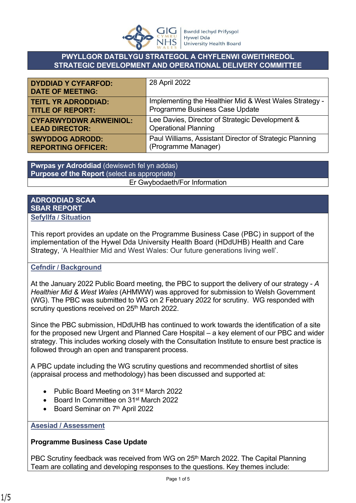

### **PWYLLGOR DATBLYGU STRATEGOL A CHYFLENWI GWEITHREDOL STRATEGIC DEVELOPMENT AND OPERATIONAL DELIVERY COMMITTEE**

| <b>DYDDIAD Y CYFARFOD:</b><br><b>DATE OF MEETING:</b> | 28 April 2022                                           |
|-------------------------------------------------------|---------------------------------------------------------|
| <b>TEITL YR ADRODDIAD:</b>                            | Implementing the Healthier Mid & West Wales Strategy -  |
| <b>TITLE OF REPORT:</b>                               | Programme Business Case Update                          |
| <b>CYFARWYDDWR ARWEINIOL:</b>                         | Lee Davies, Director of Strategic Development &         |
| <b>LEAD DIRECTOR:</b>                                 | <b>Operational Planning</b>                             |
| <b>SWYDDOG ADRODD:</b>                                | Paul Williams, Assistant Director of Strategic Planning |
| <b>REPORTING OFFICER:</b>                             | (Programme Manager)                                     |

**Pwrpas yr Adroddiad** (dewiswch fel yn addas) **Purpose of the Report** (select as appropriate) Er Gwybodaeth/For Information

#### **ADRODDIAD SCAA SBAR REPORT Sefyllfa / Situation**

This report provides an update on the Programme Business Case (PBC) in support of the implementation of the Hywel Dda University Health Board (HDdUHB) Health and Care Strategy, 'A Healthier Mid and West Wales: Our future generations living well'.

## **Cefndir / Background**

At the January 2022 Public Board meeting, the PBC to support the delivery of our strategy - *A Healthier Mid & West Wales* (AHMWW) was approved for submission to Welsh Government (WG). The PBC was submitted to WG on 2 February 2022 for scrutiny. WG responded with scrutiny questions received on 25<sup>th</sup> March 2022.

Since the PBC submission, HDdUHB has continued to work towards the identification of a site for the proposed new Urgent and Planned Care Hospital – a key element of our PBC and wider strategy. This includes working closely with the Consultation Institute to ensure best practice is followed through an open and transparent process.

A PBC update including the WG scrutiny questions and recommended shortlist of sites (appraisal process and methodology) has been discussed and supported at:

- Public Board Meeting on 31<sup>st</sup> March 2022
- Board In Committee on 31<sup>st</sup> March 2022
- Board Seminar on 7<sup>th</sup> April 2022

#### **Asesiad / Assessment**

#### **Programme Business Case Update**

PBC Scrutiny feedback was received from WG on 25<sup>th</sup> March 2022. The Capital Planning Team are collating and developing responses to the questions. Key themes include: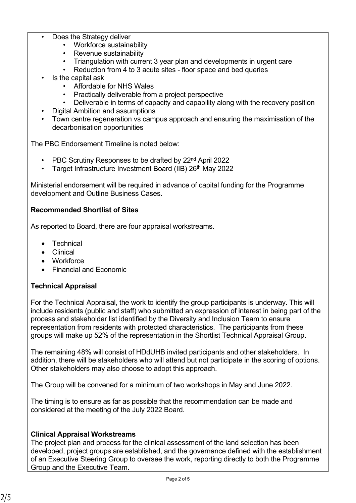- Does the Strategy deliver
	- Workforce sustainability
	- Revenue sustainability
	- Triangulation with current 3 year plan and developments in urgent care
	- Reduction from 4 to 3 acute sites floor space and bed queries
- Is the capital ask
	- Affordable for NHS Wales
	- Practically deliverable from a project perspective
	- Deliverable in terms of capacity and capability along with the recovery position
- Digital Ambition and assumptions
- Town centre regeneration vs campus approach and ensuring the maximisation of the decarbonisation opportunities

The PBC Endorsement Timeline is noted below:

- PBC Scrutiny Responses to be drafted by 22nd April 2022
- Target Infrastructure Investment Board (IIB) 26th May 2022

Ministerial endorsement will be required in advance of capital funding for the Programme development and Outline Business Cases.

## **Recommended Shortlist of Sites**

As reported to Board, there are four appraisal workstreams.

- **Technical**
- Clinical
- Workforce
- Financial and Economic

# **Technical Appraisal**

For the Technical Appraisal, the work to identify the group participants is underway. This will include residents (public and staff) who submitted an expression of interest in being part of the process and stakeholder list identified by the Diversity and Inclusion Team to ensure representation from residents with protected characteristics. The participants from these groups will make up 52% of the representation in the Shortlist Technical Appraisal Group.

The remaining 48% will consist of HDdUHB invited participants and other stakeholders. In addition, there will be stakeholders who will attend but not participate in the scoring of options. Other stakeholders may also choose to adopt this approach.

The Group will be convened for a minimum of two workshops in May and June 2022.

The timing is to ensure as far as possible that the recommendation can be made and considered at the meeting of the July 2022 Board.

# **Clinical Appraisal Workstreams**

The project plan and process for the clinical assessment of the land selection has been developed, project groups are established, and the governance defined with the establishment of an Executive Steering Group to oversee the work, reporting directly to both the Programme Group and the Executive Team.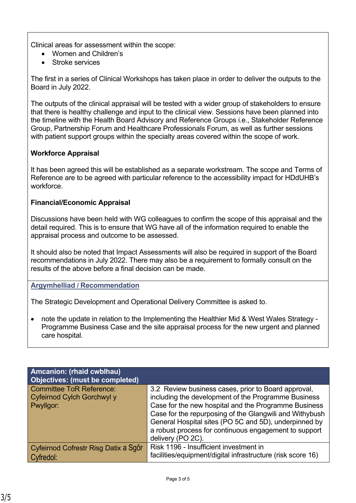Clinical areas for assessment within the scope:

- Women and Children's
- Stroke services

The first in a series of Clinical Workshops has taken place in order to deliver the outputs to the Board in July 2022.

The outputs of the clinical appraisal will be tested with a wider group of stakeholders to ensure that there is healthy challenge and input to the clinical view. Sessions have been planned into the timeline with the Health Board Advisory and Reference Groups i.e., Stakeholder Reference Group, Partnership Forum and Healthcare Professionals Forum, as well as further sessions with patient support groups within the specialty areas covered within the scope of work.

## **Workforce Appraisal**

It has been agreed this will be established as a separate workstream. The scope and Terms of Reference are to be agreed with particular reference to the accessibility impact for HDdUHB's workforce.

## **Financial/Economic Appraisal**

Discussions have been held with WG colleagues to confirm the scope of this appraisal and the detail required. This is to ensure that WG have all of the information required to enable the appraisal process and outcome to be assessed.

It should also be noted that Impact Assessments will also be required in support of the Board recommendations in July 2022. There may also be a requirement to formally consult on the results of the above before a final decision can be made.

## **Argymhelliad / Recommendation**

The Strategic Development and Operational Delivery Committee is asked to.

• note the update in relation to the Implementing the Healthier Mid & West Wales Strategy - Programme Business Case and the site appraisal process for the new urgent and planned care hospital.

| <b>Amcanion: (rhaid cwblhau)</b><br>Objectives: (must be completed)        |                                                                                                                                                                                                                                                                                                                                                                      |
|----------------------------------------------------------------------------|----------------------------------------------------------------------------------------------------------------------------------------------------------------------------------------------------------------------------------------------------------------------------------------------------------------------------------------------------------------------|
| <b>Committee ToR Reference:</b><br>Cyfeirnod Cylch Gorchwyl y<br>Pwyllgor: | 3.2 Review business cases, prior to Board approval,<br>including the development of the Programme Business<br>Case for the new hospital and the Programme Business<br>Case for the repurposing of the Glangwili and Withybush<br>General Hospital sites (PO 5C and 5D), underpinned by<br>a robust process for continuous engagement to support<br>delivery (PO 2C). |
| Cyfeirnod Cofrestr Risg Datix a Sgôr<br>Cyfredol:                          | Risk 1196 - Insufficient investment in<br>facilities/equipment/digital infrastructure (risk score 16)                                                                                                                                                                                                                                                                |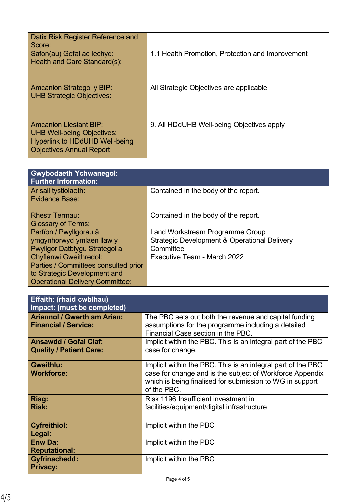| Datix Risk Register Reference and<br>Score:                                                                                                    |                                                  |
|------------------------------------------------------------------------------------------------------------------------------------------------|--------------------------------------------------|
| Safon(au) Gofal ac lechyd:<br>Health and Care Standard(s):                                                                                     | 1.1 Health Promotion, Protection and Improvement |
| <b>Amcanion Strategol y BIP:</b><br><b>UHB Strategic Objectives:</b>                                                                           | All Strategic Objectives are applicable          |
| <b>Amcanion Llesiant BIP:</b><br><b>UHB Well-being Objectives:</b><br><b>Hyperlink to HDdUHB Well-being</b><br><b>Objectives Annual Report</b> | 9. All HDdUHB Well-being Objectives apply        |

| <b>Gwybodaeth Ychwanegol:</b><br><b>Further Information:</b> |                                                         |
|--------------------------------------------------------------|---------------------------------------------------------|
| Ar sail tystiolaeth:<br><b>Evidence Base:</b>                | Contained in the body of the report.                    |
| <b>Rhestr Termau:</b>                                        | Contained in the body of the report.                    |
| <b>Glossary of Terms:</b>                                    |                                                         |
| Partïon / Pwyllgorau â                                       | Land Workstream Programme Group                         |
| ymgynhorwyd ymlaen llaw y                                    | <b>Strategic Development &amp; Operational Delivery</b> |
| Pwyllgor Datblygu Strategol a                                | Committee                                               |
| <b>Chyflenwi Gweithredol:</b>                                | Executive Team - March 2022                             |
| Parties / Committees consulted prior                         |                                                         |
| to Strategic Development and                                 |                                                         |
| <b>Operational Delivery Committee:</b>                       |                                                         |

| <b>Effaith: (rhaid cwblhau)</b><br>Impact: (must be completed)    |                                                                                                                                                                                                     |
|-------------------------------------------------------------------|-----------------------------------------------------------------------------------------------------------------------------------------------------------------------------------------------------|
| <b>Ariannol / Gwerth am Arian:</b><br><b>Financial / Service:</b> | The PBC sets out both the revenue and capital funding<br>assumptions for the programme including a detailed<br>Financial Case section in the PBC.                                                   |
| <b>Ansawdd / Gofal Claf:</b><br><b>Quality / Patient Care:</b>    | Implicit within the PBC. This is an integral part of the PBC<br>case for change.                                                                                                                    |
| <b>Gweithlu:</b><br><b>Workforce:</b>                             | Implicit within the PBC. This is an integral part of the PBC<br>case for change and is the subject of Workforce Appendix<br>which is being finalised for submission to WG in support<br>of the PBC. |
| Risg:<br><b>Risk:</b>                                             | Risk 1196 Insufficient investment in<br>facilities/equipment/digital infrastructure                                                                                                                 |
| <b>Cyfreithiol:</b><br>Legal:                                     | Implicit within the PBC                                                                                                                                                                             |
| <b>Enw Da:</b><br><b>Reputational:</b>                            | Implicit within the PBC                                                                                                                                                                             |
| <b>Gyfrinachedd:</b><br><b>Privacy:</b>                           | Implicit within the PBC                                                                                                                                                                             |